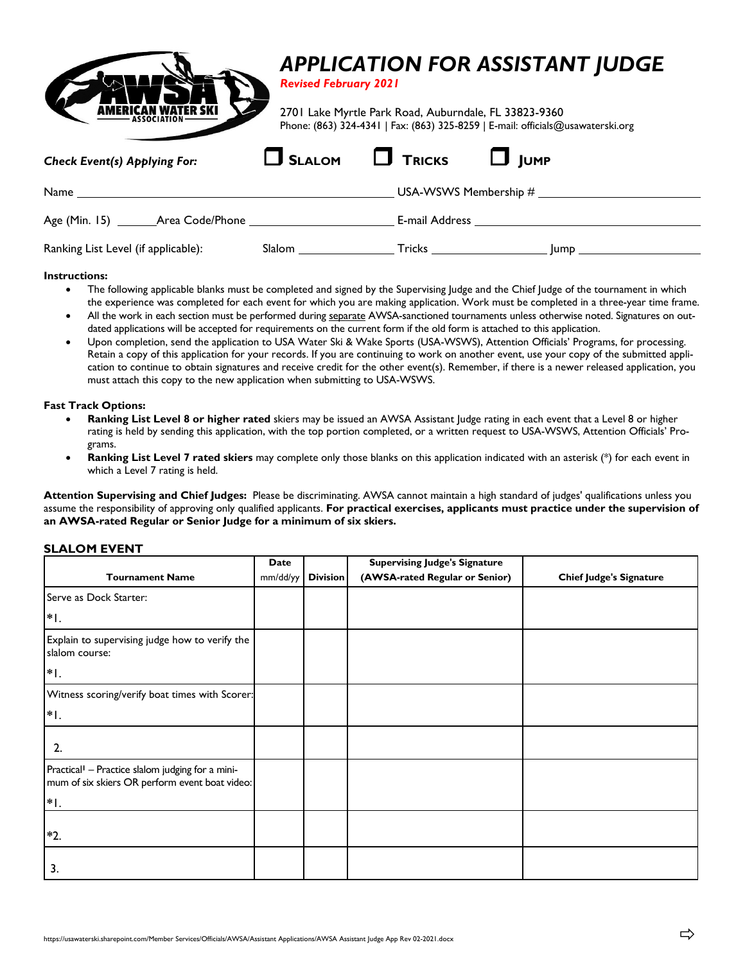

### **Instructions:**

- The following applicable blanks must be completed and signed by the Supervising Judge and the Chief Judge of the tournament in which the experience was completed for each event for which you are making application. Work must be completed in a three-year time frame.
- All the work in each section must be performed during separate AWSA-sanctioned tournaments unless otherwise noted. Signatures on outdated applications will be accepted for requirements on the current form if the old form is attached to this application.
- Upon completion, send the application to USA Water Ski & Wake Sports (USA-WSWS), Attention Officials' Programs, for processing. Retain a copy of this application for your records. If you are continuing to work on another event, use your copy of the submitted application to continue to obtain signatures and receive credit for the other event(s). Remember, if there is a newer released application, you must attach this copy to the new application when submitting to USA-WSWS.

## **Fast Track Options:**

- **Ranking List Level 8 or higher rated** skiers may be issued an AWSA Assistant Judge rating in each event that a Level 8 or higher rating is held by sending this application, with the top portion completed, or a written request to USA-WSWS, Attention Officials' Programs.
- **Ranking List Level 7 rated skiers** may complete only those blanks on this application indicated with an asterisk (\*) for each event in which a Level 7 rating is held.

**Attention Supervising and Chief Judges:** Please be discriminating. AWSA cannot maintain a high standard of judges' qualifications unless you assume the responsibility of approving only qualified applicants. **For practical exercises, applicants must practice under the supervision of an AWSA-rated Regular or Senior Judge for a minimum of six skiers.**

## **SLALOM EVENT**

|                                                                                                                | <b>Date</b> |                 | <b>Supervising Judge's Signature</b> |                                |
|----------------------------------------------------------------------------------------------------------------|-------------|-----------------|--------------------------------------|--------------------------------|
| <b>Tournament Name</b>                                                                                         | mm/dd/yy    | <b>Division</b> | (AWSA-rated Regular or Senior)       | <b>Chief Judge's Signature</b> |
| Serve as Dock Starter:                                                                                         |             |                 |                                      |                                |
| $*$  .                                                                                                         |             |                 |                                      |                                |
| Explain to supervising judge how to verify the<br>slalom course:                                               |             |                 |                                      |                                |
| $*$  .                                                                                                         |             |                 |                                      |                                |
| Witness scoring/verify boat times with Scorer:                                                                 |             |                 |                                      |                                |
| $*$ I.                                                                                                         |             |                 |                                      |                                |
| 2.                                                                                                             |             |                 |                                      |                                |
| Practical <sup>1</sup> - Practice slalom judging for a mini-<br>mum of six skiers OR perform event boat video: |             |                 |                                      |                                |
| $*$  .                                                                                                         |             |                 |                                      |                                |
| $*2.$                                                                                                          |             |                 |                                      |                                |
| 3.                                                                                                             |             |                 |                                      |                                |